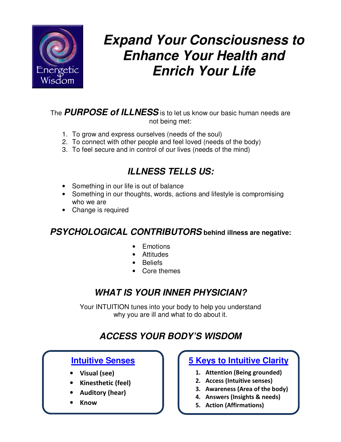

# *Expand Your Consciousness to Enhance Your Health and Enrich Your Life*

The *PURPOSE of ILLNESS* is to let us know our basic human needs are not being met:

- 1. To grow and express ourselves (needs of the soul)
- 2. To connect with other people and feel loved (needs of the body)
- 3. To feel secure and in control of our lives (needs of the mind)

### *ILLNESS TELLS US:*

- Something in our life is out of balance
- Something in our thoughts, words, actions and lifestyle is compromising who we are
- Change is required

### *PSYCHOLOGICAL CONTRIBUTORS* **behind illness are negative:**

- Emotions
- Attitudes
- Beliefs
- Core themes

### *WHAT IS YOUR INNER PHYSICIAN?*

Your INTUITION tunes into your body to help you understand why you are ill and what to do about it.

# *ACCESS YOUR BODY'S WISDOM*

#### **Intuitive Senses**

- **Visual (see)**
- **Kinesthetic (feel)**
- **Auditory (hear)**
- **Know**

#### **5 Keys to Intuitive Clarity**

- **1. Attention (Being grounded)**
- **2. Access (Intuitive senses)**
- **3. Awareness (Area of the body)**
- **4. Answers (Insights & needs)**
- **5. Action (Affirmations)**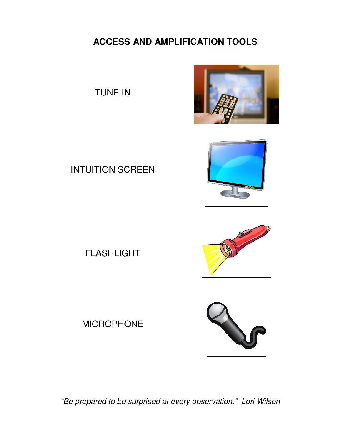# **ACCESS AND AMPLIFICATION TOOLS**



TUNE IN



INTUITION SCREEN



FLASHLIGHT

MICROPHONE



"Be prepared to be surprised at every observation." Lori Wilson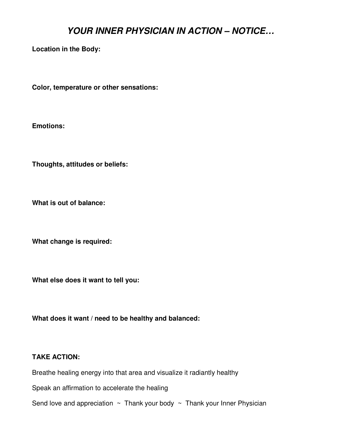#### *YOUR INNER PHYSICIAN IN ACTION – NOTICE…*

**Location in the Body:** 

**Color, temperature or other sensations:** 

**Emotions:** 

**Thoughts, attitudes or beliefs:** 

**What is out of balance:** 

**What change is required:** 

**What else does it want to tell you:** 

**What does it want / need to be healthy and balanced:** 

#### **TAKE ACTION:**

Breathe healing energy into that area and visualize it radiantly healthy

Speak an affirmation to accelerate the healing

Send love and appreciation  $\sim$  Thank your body  $\sim$  Thank your Inner Physician